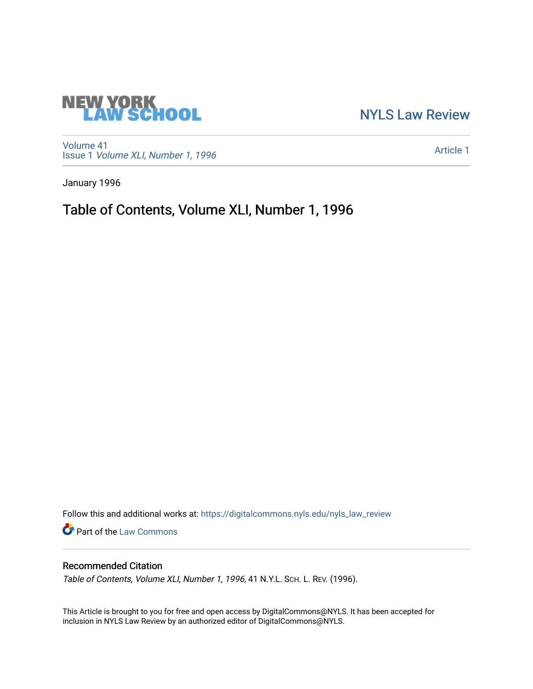# **NEW YORK<br>LAW SCHOOL**

[NYLS Law Review](https://digitalcommons.nyls.edu/nyls_law_review) 

[Volume 41](https://digitalcommons.nyls.edu/nyls_law_review/vol41) Issue 1 [Volume XLI, Number 1, 1996](https://digitalcommons.nyls.edu/nyls_law_review/vol41/iss1)

[Article 1](https://digitalcommons.nyls.edu/nyls_law_review/vol41/iss1/1) 

January 1996

Table of Contents, Volume XLI, Number 1, 1996

Follow this and additional works at: [https://digitalcommons.nyls.edu/nyls\\_law\\_review](https://digitalcommons.nyls.edu/nyls_law_review?utm_source=digitalcommons.nyls.edu%2Fnyls_law_review%2Fvol41%2Fiss1%2F1&utm_medium=PDF&utm_campaign=PDFCoverPages) 

Part of the [Law Commons](https://network.bepress.com/hgg/discipline/578?utm_source=digitalcommons.nyls.edu%2Fnyls_law_review%2Fvol41%2Fiss1%2F1&utm_medium=PDF&utm_campaign=PDFCoverPages)

### Recommended Citation

Table of Contents, Volume XLI, Number 1, 1996, 41 N.Y.L. SCH. L. REV. (1996).

This Article is brought to you for free and open access by DigitalCommons@NYLS. It has been accepted for inclusion in NYLS Law Review by an authorized editor of DigitalCommons@NYLS.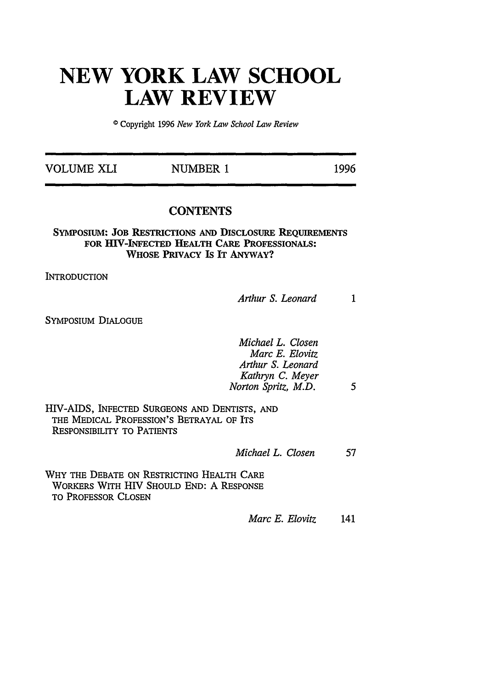## **NEW YORK LAW SCHOOL LAW REVIEW**

**0** Copyright 1996 *New York Law School Law Review*

| <b>VOLUME XLI</b> | NUMBER 1 | 1996 |
|-------------------|----------|------|
|                   |          |      |

#### **CONTENTS**

#### **SYMPOSIUM: JOB RESTRICTIONS AND DISCLOSURE REQUIREMENTS FOR IV-INFECTED** HEALTH CARE **PROFESSIONALS:** WHOSE **PRIVACY Is IT ANYWAY?**

**INTRODUCTION** 

*Arthur S. Leonard*  $\mathbf{1}$ 

SYMPOSIUM DIALOGUE

| Michael L. Closen   |   |
|---------------------|---|
| Marc E. Elovitz     |   |
| Arthur S. Leonard   |   |
| Kathryn C. Meyer    |   |
| Norton Spritz, M.D. | 5 |

HIV-AIDS, INFECTED SURGEONS AND DENTISTS, AND THE MEDICAL PROFESSION'S BETRAYAL OF ITS RESPONSIBILITY TO PATIENTS

*Michael L. Closen* 57

WHY THE DEBATE ON RESTRICTING HEALTH CARE WORKERS WITH HIV SHOULD END: A RESPONSE TO PROFESSOR CLOSEN

*Marc E. Elovitz* 141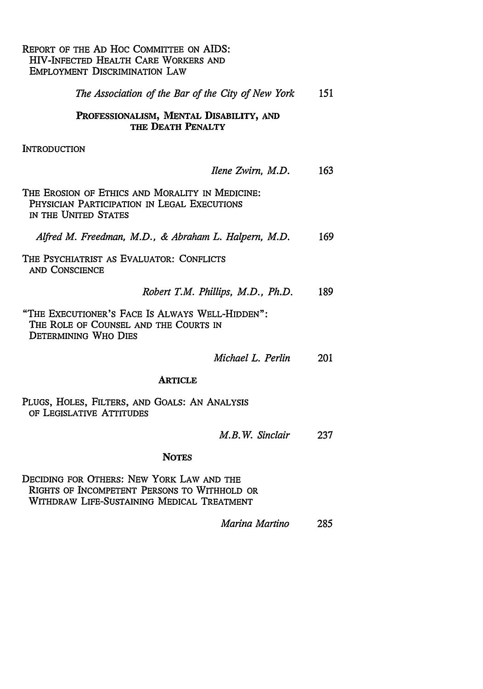#### REPORT OF THE AD Hoc COMMITTEE ON AIDS: HIV-INFECTED HEALTH CARE WORKERS AND EMPLOYMENT DISCRIMINATION LAW

| The Association of the Bar of the City of New York                                                                      |     |
|-------------------------------------------------------------------------------------------------------------------------|-----|
| PROFESSIONALISM, MENTAL DISABILITY, AND<br>THE DEATH PENALTY                                                            |     |
| Introduction                                                                                                            |     |
| Ilene Zwirn, M.D.                                                                                                       | 163 |
| THE EROSION OF ETHICS AND MORALITY IN MEDICINE:<br>PHYSICIAN PARTICIPATION IN LEGAL EXECUTIONS<br>IN THE UNITED STATES  |     |
| Alfred M. Freedman, M.D., & Abraham L. Halpern, M.D.                                                                    | 169 |
| THE PSYCHIATRIST AS EVALUATOR: CONFLICTS<br>AND CONSCIENCE                                                              |     |
| Robert T.M. Phillips, M.D., Ph.D.                                                                                       | 189 |
| "THE EXECUTIONER'S FACE IS ALWAYS WELL-HIDDEN":<br>THE ROLE OF COUNSEL AND THE COURTS IN<br><b>DETERMINING WHO DIES</b> |     |
| Michael L. Perlin                                                                                                       | 201 |
| <b>ARTICLE</b>                                                                                                          |     |
| PLUGS, HOLES, FILTERS, AND GOALS: AN ANALYSIS<br>OF LEGISLATIVE ATTITUDES                                               |     |
| M.B.W. Sinclair                                                                                                         | 237 |
| <b>NOTES</b>                                                                                                            |     |

**DECIDING** FOR OTHERS: NEW YORK LAW **AND** THE RIGHTS OF INCOMPETENT PERSONS TO WITHHOLD OR WITHDRAW **LIFE-SUSTAINING** MEDICAL TREATMENT

*Marina Martino* 285